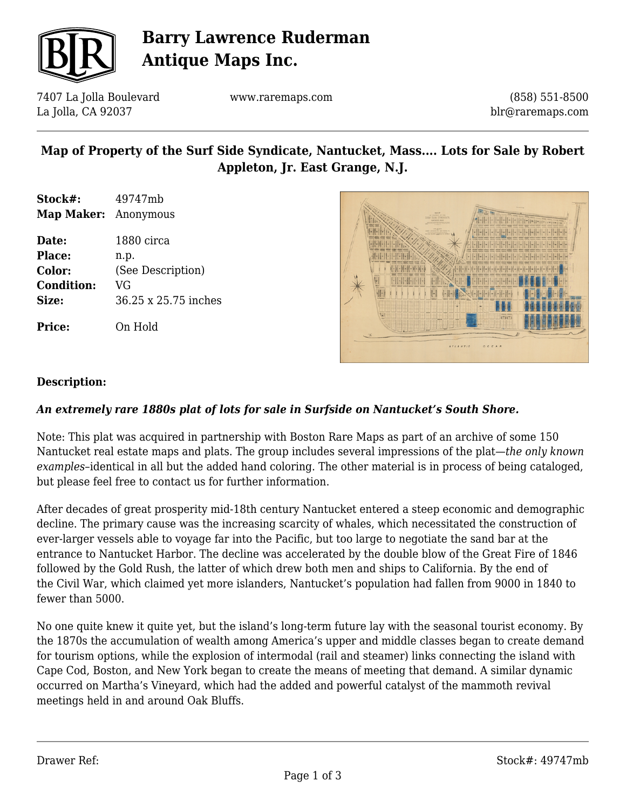

# **Barry Lawrence Ruderman Antique Maps Inc.**

7407 La Jolla Boulevard La Jolla, CA 92037

www.raremaps.com

(858) 551-8500 blr@raremaps.com

## **Map of Property of the Surf Side Syndicate, Nantucket, Mass.... Lots for Sale by Robert Appleton, Jr. East Grange, N.J.**

- **Stock#:** 49747mb **Map Maker:** Anonymous
- **Date:** 1880 circa **Place:** n.p. **Color:** (See Description) **Condition:** VG **Size:** 36.25 x 25.75 inches

**Price:** On Hold



#### **Description:**

### *An extremely rare 1880s plat of lots for sale in Surfside on Nantucket's South Shore.*

Note: This plat was acquired in partnership with Boston Rare Maps as part of an archive of some 150 Nantucket real estate maps and plats. The group includes several impressions of the plat—*the only known examples*–identical in all but the added hand coloring. The other material is in process of being cataloged, but please feel free to contact us for further information.

After decades of great prosperity mid-18th century Nantucket entered a steep economic and demographic decline. The primary cause was the increasing scarcity of whales, which necessitated the construction of ever-larger vessels able to voyage far into the Pacific, but too large to negotiate the sand bar at the entrance to Nantucket Harbor. The decline was accelerated by the double blow of the Great Fire of 1846 followed by the Gold Rush, the latter of which drew both men and ships to California. By the end of the Civil War, which claimed yet more islanders, Nantucket's population had fallen from 9000 in 1840 to fewer than 5000.

No one quite knew it quite yet, but the island's long-term future lay with the seasonal tourist economy. By the 1870s the accumulation of wealth among America's upper and middle classes began to create demand for tourism options, while the explosion of intermodal (rail and steamer) links connecting the island with Cape Cod, Boston, and New York began to create the means of meeting that demand. A similar dynamic occurred on Martha's Vineyard, which had the added and powerful catalyst of the mammoth revival meetings held in and around Oak Bluffs.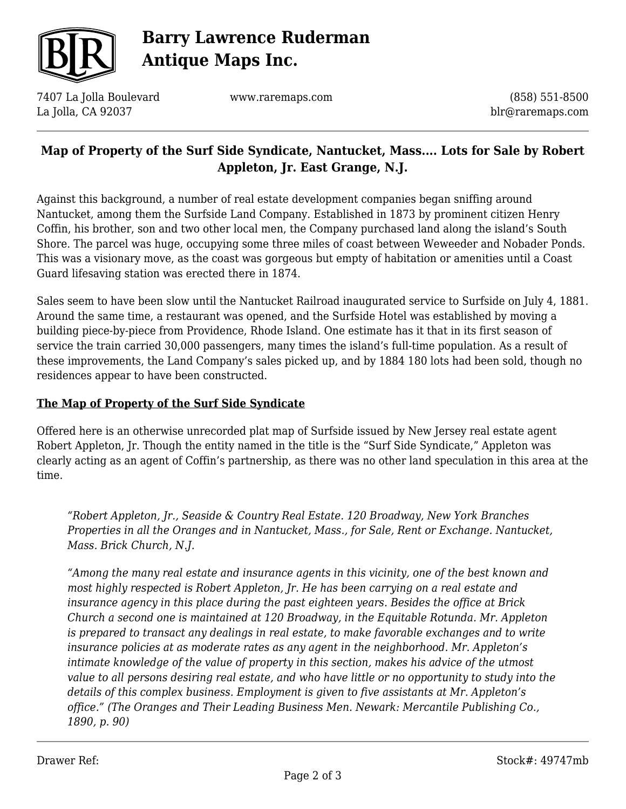

# **Barry Lawrence Ruderman Antique Maps Inc.**

7407 La Jolla Boulevard La Jolla, CA 92037

www.raremaps.com

(858) 551-8500 blr@raremaps.com

### **Map of Property of the Surf Side Syndicate, Nantucket, Mass.... Lots for Sale by Robert Appleton, Jr. East Grange, N.J.**

Against this background, a number of real estate development companies began sniffing around Nantucket, among them the Surfside Land Company. Established in 1873 by prominent citizen Henry Coffin, his brother, son and two other local men, the Company purchased land along the island's South Shore. The parcel was huge, occupying some three miles of coast between Weweeder and Nobader Ponds. This was a visionary move, as the coast was gorgeous but empty of habitation or amenities until a Coast Guard lifesaving station was erected there in 1874.

Sales seem to have been slow until the Nantucket Railroad inaugurated service to Surfside on July 4, 1881. Around the same time, a restaurant was opened, and the Surfside Hotel was established by moving a building piece-by-piece from Providence, Rhode Island. One estimate has it that in its first season of service the train carried 30,000 passengers, many times the island's full-time population. As a result of these improvements, the Land Company's sales picked up, and by 1884 180 lots had been sold, though no residences appear to have been constructed.

### **The Map of Property of the Surf Side Syndicate**

Offered here is an otherwise unrecorded plat map of Surfside issued by New Jersey real estate agent Robert Appleton, Jr. Though the entity named in the title is the "Surf Side Syndicate," Appleton was clearly acting as an agent of Coffin's partnership, as there was no other land speculation in this area at the time.

*"Robert Appleton, Jr., Seaside & Country Real Estate. 120 Broadway, New York Branches Properties in all the Oranges and in Nantucket, Mass., for Sale, Rent or Exchange. Nantucket, Mass. Brick Church, N.J.*

*"Among the many real estate and insurance agents in this vicinity, one of the best known and most highly respected is Robert Appleton, Jr. He has been carrying on a real estate and insurance agency in this place during the past eighteen years. Besides the office at Brick Church a second one is maintained at 120 Broadway, in the Equitable Rotunda. Mr. Appleton is prepared to transact any dealings in real estate, to make favorable exchanges and to write insurance policies at as moderate rates as any agent in the neighborhood. Mr. Appleton's intimate knowledge of the value of property in this section, makes his advice of the utmost value to all persons desiring real estate, and who have little or no opportunity to study into the details of this complex business. Employment is given to five assistants at Mr. Appleton's office." (The Oranges and Their Leading Business Men. Newark: Mercantile Publishing Co., 1890, p. 90)*